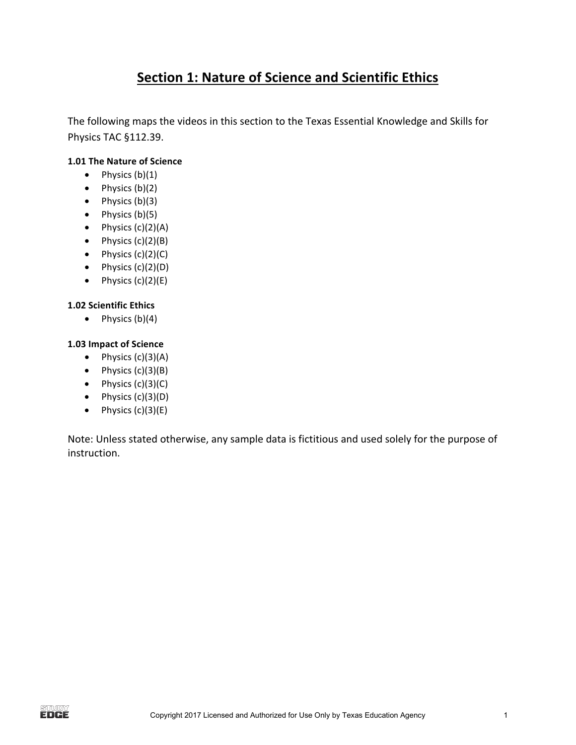### **Section 1: Nature of Science and Scientific Ethics**

The following maps the videos in this section to the Texas Essential Knowledge and Skills for Physics TAC §112.39.

#### **1.01 The Nature of Science**

- Physics  $(b)(1)$
- Physics  $(b)(2)$
- Physics (b)(3)
- Physics  $(b)(5)$
- Physics  $(c)(2)(A)$
- Physics  $(c)(2)(B)$
- Physics  $(c)(2)(C)$
- Physics  $(c)(2)(D)$
- Physics  $(c)(2)(E)$

#### **1.02 Scientific Ethics**

• Physics  $(b)(4)$ 

#### **1.03 Impact of Science**

- Physics  $(c)(3)(A)$
- Physics  $(c)(3)(B)$
- Physics  $(c)(3)(C)$
- Physics (c)(3)(D)
- Physics  $(c)(3)(E)$

Note: Unless stated otherwise, any sample data is fictitious and used solely for the purpose of instruction.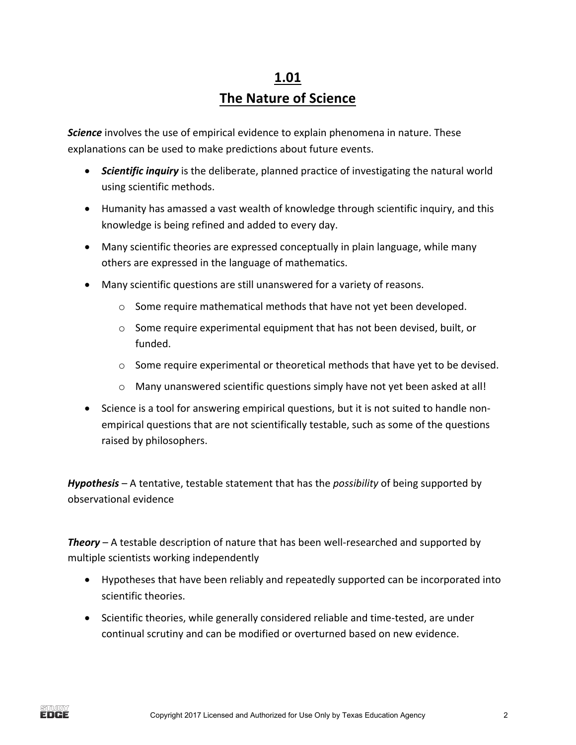# **1.01 The Nature of Science**

**Science** involves the use of empirical evidence to explain phenomena in nature. These explanations can be used to make predictions about future events.

- **Scientific inquiry** is the deliberate, planned practice of investigating the natural world using scientific methods.
- Humanity has amassed a vast wealth of knowledge through scientific inquiry, and this knowledge is being refined and added to every day.
- Many scientific theories are expressed conceptually in plain language, while many others are expressed in the language of mathematics.
- Many scientific questions are still unanswered for a variety of reasons.
	- $\circ$  Some require mathematical methods that have not yet been developed.
	- $\circ$  Some require experimental equipment that has not been devised, built, or funded.
	- $\circ$  Some require experimental or theoretical methods that have yet to be devised.
	- $\circ$  Many unanswered scientific questions simply have not yet been asked at all!
- Science is a tool for answering empirical questions, but it is not suited to handle nonempirical questions that are not scientifically testable, such as some of the questions raised by philosophers.

*Hypothesis* – A tentative, testable statement that has the *possibility* of being supported by observational evidence 

**Theory** – A testable description of nature that has been well-researched and supported by multiple scientists working independently

- Hypotheses that have been reliably and repeatedly supported can be incorporated into scientific theories.
- Scientific theories, while generally considered reliable and time-tested, are under continual scrutiny and can be modified or overturned based on new evidence.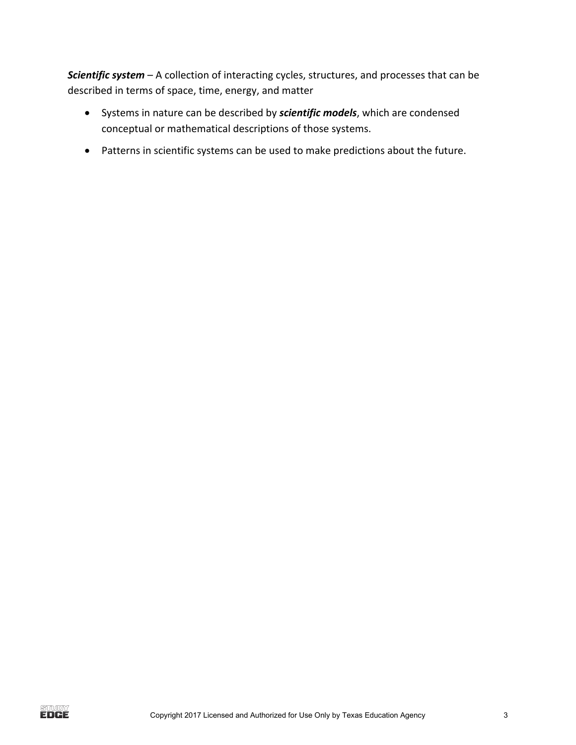**Scientific system** – A collection of interacting cycles, structures, and processes that can be described in terms of space, time, energy, and matter

- Systems in nature can be described by *scientific models*, which are condensed conceptual or mathematical descriptions of those systems.
- Patterns in scientific systems can be used to make predictions about the future.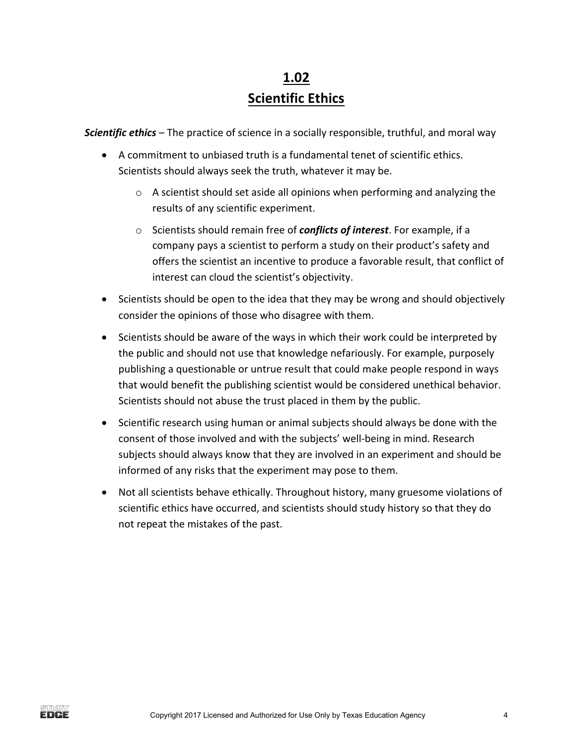## **1.02 Scientific Ethics**

**Scientific ethics** – The practice of science in a socially responsible, truthful, and moral way

- A commitment to unbiased truth is a fundamental tenet of scientific ethics. Scientists should always seek the truth, whatever it may be.
	- $\circ$  A scientist should set aside all opinions when performing and analyzing the results of any scientific experiment.
	- o Scientists should remain free of **conflicts of interest**. For example, if a company pays a scientist to perform a study on their product's safety and offers the scientist an incentive to produce a favorable result, that conflict of interest can cloud the scientist's objectivity.
- Scientists should be open to the idea that they may be wrong and should objectively consider the opinions of those who disagree with them.
- Scientists should be aware of the ways in which their work could be interpreted by the public and should not use that knowledge nefariously. For example, purposely publishing a questionable or untrue result that could make people respond in ways that would benefit the publishing scientist would be considered unethical behavior. Scientists should not abuse the trust placed in them by the public.
- Scientific research using human or animal subjects should always be done with the consent of those involved and with the subjects' well-being in mind. Research subjects should always know that they are involved in an experiment and should be informed of any risks that the experiment may pose to them.
- Not all scientists behave ethically. Throughout history, many gruesome violations of scientific ethics have occurred, and scientists should study history so that they do not repeat the mistakes of the past.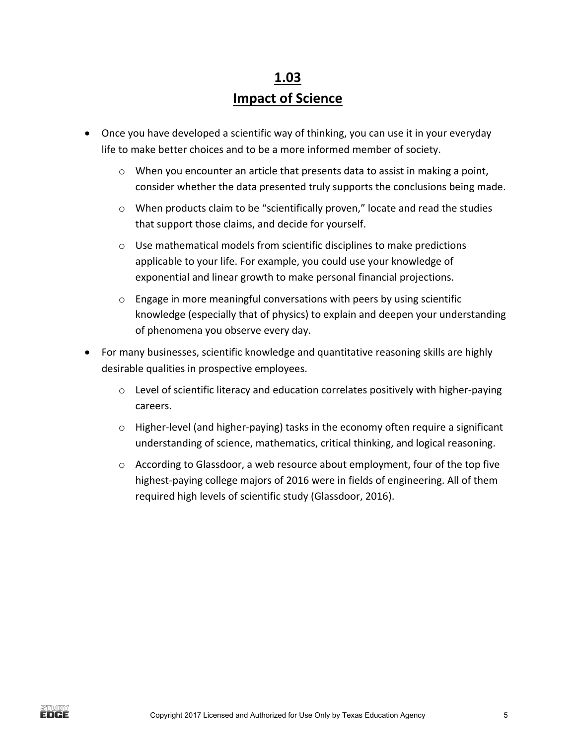## **1.03 Impact of Science**

- Once you have developed a scientific way of thinking, you can use it in your everyday life to make better choices and to be a more informed member of society.
	- $\circ$  When you encounter an article that presents data to assist in making a point, consider whether the data presented truly supports the conclusions being made.
	- $\circ$  When products claim to be "scientifically proven," locate and read the studies that support those claims, and decide for yourself.
	- $\circ$  Use mathematical models from scientific disciplines to make predictions applicable to your life. For example, you could use your knowledge of exponential and linear growth to make personal financial projections.
	- $\circ$  Engage in more meaningful conversations with peers by using scientific knowledge (especially that of physics) to explain and deepen your understanding of phenomena you observe every day.
- For many businesses, scientific knowledge and quantitative reasoning skills are highly desirable qualities in prospective employees.
	- $\circ$  Level of scientific literacy and education correlates positively with higher-paying careers.
	- $\circ$  Higher-level (and higher-paying) tasks in the economy often require a significant understanding of science, mathematics, critical thinking, and logical reasoning.
	- $\circ$  According to Glassdoor, a web resource about employment, four of the top five highest-paying college majors of 2016 were in fields of engineering. All of them required high levels of scientific study (Glassdoor, 2016).